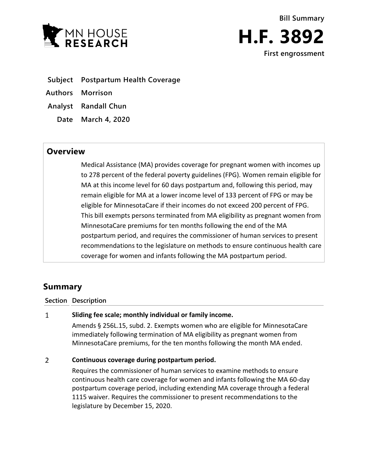



- **Subject Postpartum Health Coverage**
- **Authors Morrison**
- **Analyst Randall Chun**
	- **Date March 4, 2020**

## **Overview**

Medical Assistance (MA) provides coverage for pregnant women with incomes up to 278 percent of the federal poverty guidelines (FPG). Women remain eligible for MA at this income level for 60 days postpartum and, following this period, may remain eligible for MA at a lower income level of 133 percent of FPG or may be eligible for MinnesotaCare if their incomes do not exceed 200 percent of FPG. This bill exempts persons terminated from MA eligibility as pregnant women from MinnesotaCare premiums for ten months following the end of the MA postpartum period, and requires the commissioner of human services to present recommendations to the legislature on methods to ensure continuous health care coverage for women and infants following the MA postpartum period.

# **Summary**

### **Section Description**

### $\mathbf{1}$ **Sliding fee scale; monthly individual or family income.**

Amends § 256L.15, subd. 2. Exempts women who are eligible for MinnesotaCare immediately following termination of MA eligibility as pregnant women from MinnesotaCare premiums, for the ten months following the month MA ended.

### $\overline{2}$ **Continuous coverage during postpartum period.**

Requires the commissioner of human services to examine methods to ensure continuous health care coverage for women and infants following the MA 60-day postpartum coverage period, including extending MA coverage through a federal 1115 waiver. Requires the commissioner to present recommendations to the legislature by December 15, 2020.